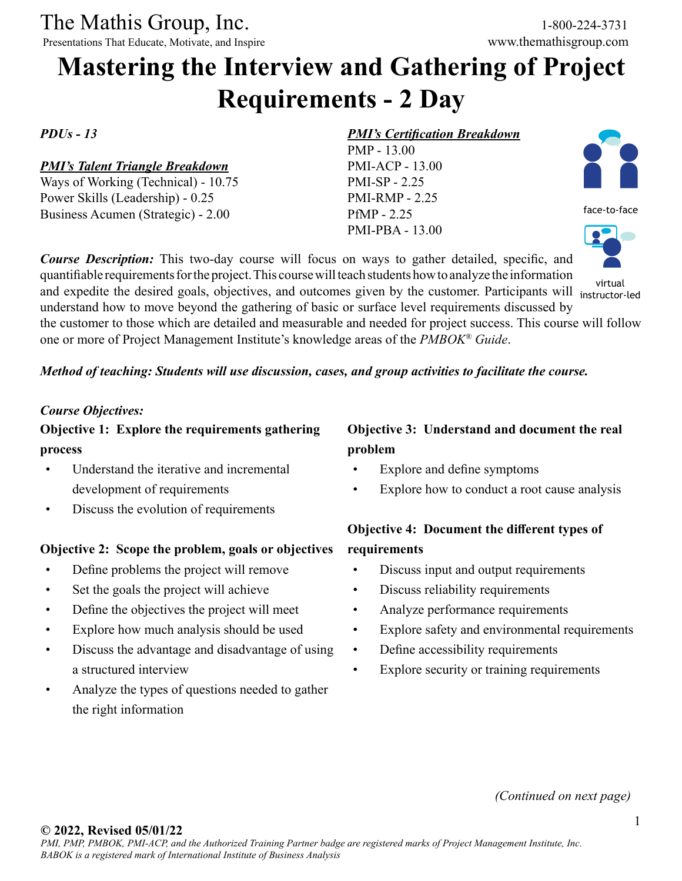The Mathis Group, Inc. 1-800-224-3731<br>
Presentations That Educate, Motivate, and Inspire www.themathisgroup.com

Presentations That Educate, Motivate, and Inspire

# **Mastering the Interview and Gathering of Project Requirements - 2 Day**

#### *PDUs - 13*

#### *PMI's Talent Triangle Breakdown*

Ways of Working (Technical) - 10.75 Power Skills (Leadership) - 0.25 Business Acumen (Strategic) - 2.00

#### *PMI's Certification Breakdown*

PMP - 13.00 PMI-ACP - 13.00 PMI-SP - 2.25 PMI-RMP - 2.25 PfMP - 2.25 PMI-PBA - 13.00

*Course Description:* This two-day course will focus on ways to gather detailed, specific, and quantifiable requirements for the project. This course will teach students how to analyze the information and expedite the desired goals, objectives, and outcomes given by the customer. Participants will virtual understand how to move beyond the gathering of basic or surface level requirements discussed by

face-to-face

instructor-led

the customer to those which are detailed and measurable and needed for project success. This course will follow one or more of Project Management Institute's knowledge areas of the *PMBOK® Guide*.

#### *Method of teaching: Students will use discussion, cases, and group activities to facilitate the course.*

#### *Course Objectives:*

**Objective 1: Explore the requirements gathering process**

- Understand the iterative and incremental development of requirements
- Discuss the evolution of requirements

#### **Objective 2: Scope the problem, goals or objectives**

- Define problems the project will remove
- Set the goals the project will achieve
- Define the objectives the project will meet
- Explore how much analysis should be used
- Discuss the advantage and disadvantage of using a structured interview
- Analyze the types of questions needed to gather the right information

## **Objective 3: Understand and document the real problem**

- Explore and define symptoms
- Explore how to conduct a root cause analysis

## **Objective 4: Document the different types of requirements**

- Discuss input and output requirements
- Discuss reliability requirements
- Analyze performance requirements
- Explore safety and environmental requirements
- Define accessibility requirements
- Explore security or training requirements

*(Continued on next page)*

#### **© 2022, Revised 05/01/22**